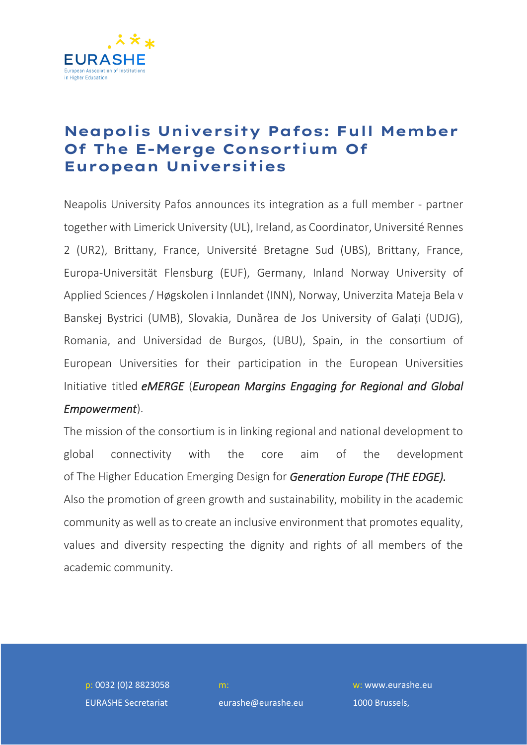

## **Neapolis University Pafos: Full Member Of The E-Merge Consortium Of European Universities**

Neapolis University Pafos announces its integration as a full member - partner together with Limerick University (UL), Ireland, as Coordinator,Université Rennes 2 (UR2), Brittany, France, Université Bretagne Sud (UBS), Brittany, France, Europa-Universität Flensburg (EUF), Germany, Inland Norway University of Applied Sciences / Høgskolen i Innlandet (INN), Norway, Univerzita Mateja Bela v Banskej Bystrici (UMB), Slovakia, Dunărea de Jos University of Galați (UDJG), Romania, and Universidad de Burgos, (UBU), Spain, in the consortium of European Universities for their participation in the European Universities Initiative titled *eMERGE* (*European Margins Engaging for Regional and Global Empowerment*).

The mission of the consortium is in linking regional and national development to global connectivity with the core aim of the development of The Higher Education Emerging Design for *Generation Europe (THE EDGE).*  Also the promotion of green growth and sustainability, mobility in the academic community as well as to create an inclusive environment that promotes equality, values and diversity respecting the dignity and rights of all members of the academic community.

p: 0032 (0)2 8823058 EURASHE Secretariat

eurashe@eurashe.eu

w: www.eurashe.eu 1000 Brussels,